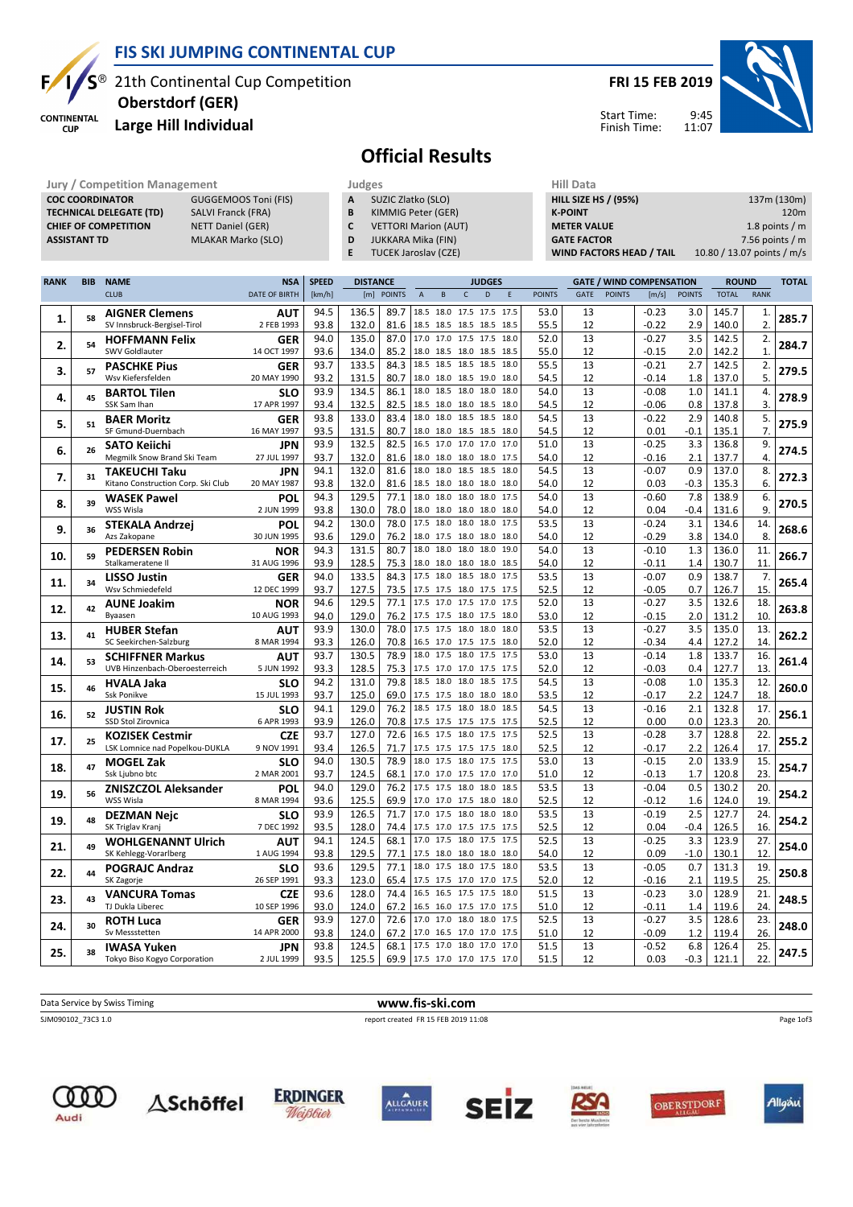

## FIS SKI JUMPING CONTINENTAL CUP

Jury / Competition Management **Management** Judges Management Aill Data

21th Continental Cup Competition

**CONTINENTAL CUP** 

#### Large Hill Individual Oberstdorf (GER)

FRI 15 FEB 2019

Start Time: Finish Time:



Official Results

|             | <b>COC COORDINATOR</b><br>GUGGEMOOS Toni (FIS)<br><b>TECHNICAL DELEGATE (TD)</b><br><b>SALVI Franck (FRA)</b><br><b>CHIEF OF COMPETITION</b><br><b>NETT Daniel (GER)</b><br><b>MLAKAR Marko (SLO)</b><br><b>ASSISTANT TD</b> |                                                           |                          |              |                 |               | SUZIC Zlatko (SLO)<br>A<br>B<br>KIMMIG Peter (GER)<br>C<br><b>VETTORI Marion (AUT)</b><br>D<br>JUKKARA Mika (FIN)<br>E<br><b>TUCEK Jaroslav (CZE)</b> |                                                      |                   |      |               | <b>HILL SIZE HS / (95%)</b><br><b>K-POINT</b><br><b>METER VALUE</b><br><b>GATE FACTOR</b><br><b>WIND FACTORS HEAD / TAIL</b> |               |                                 |               |                              | 137m (130m)<br>120m<br>1.8 points $/m$<br>7.56 points / $m$<br>10.80 / 13.07 points / m/s |       |  |
|-------------|------------------------------------------------------------------------------------------------------------------------------------------------------------------------------------------------------------------------------|-----------------------------------------------------------|--------------------------|--------------|-----------------|---------------|-------------------------------------------------------------------------------------------------------------------------------------------------------|------------------------------------------------------|-------------------|------|---------------|------------------------------------------------------------------------------------------------------------------------------|---------------|---------------------------------|---------------|------------------------------|-------------------------------------------------------------------------------------------|-------|--|
| <b>RANK</b> | <b>BIB</b>                                                                                                                                                                                                                   | <b>NAME</b>                                               | <b>NSA</b>               | <b>SPEED</b> | <b>DISTANCE</b> |               |                                                                                                                                                       |                                                      | <b>JUDGES</b>     |      |               |                                                                                                                              |               | <b>GATE / WIND COMPENSATION</b> |               | <b>ROUND</b><br><b>TOTAL</b> |                                                                                           |       |  |
|             |                                                                                                                                                                                                                              | <b>CLUB</b>                                               | <b>DATE OF BIRTH</b>     | [km/h]       | [m]             | <b>POINTS</b> | $\mathsf A$                                                                                                                                           | B                                                    | $\mathsf{C}$<br>D | E    | <b>POINTS</b> | GATE                                                                                                                         | <b>POINTS</b> | [m/s]                           | <b>POINTS</b> | <b>TOTAL</b>                 | <b>RANK</b>                                                                               |       |  |
| 1.          | 58                                                                                                                                                                                                                           | <b>AIGNER Clemens</b><br>SV Innsbruck-Bergisel-Tirol      | <b>AUT</b><br>2 FEB 1993 | 94.5<br>93.8 | 136.5<br>132.0  | 89.7<br>81.6  |                                                                                                                                                       | 18.5 18.0 17.5 17.5 17.5<br>18.5 18.5 18.5 18.5 18.5 |                   |      | 53.0<br>55.5  | 13<br>12                                                                                                                     |               | $-0.23$<br>$-0.22$              | 3.0<br>2.9    | 145.7<br>140.0               | 1.<br>2.                                                                                  | 285.7 |  |
| 2.          | 54                                                                                                                                                                                                                           | <b>HOFFMANN Felix</b>                                     | GER                      | 94.0         | 135.0           | 87.0          |                                                                                                                                                       | 17.0 17.0 17.5 17.5                                  |                   | 18.0 | 52.0          | 13                                                                                                                           |               | $-0.27$                         | 3.5           | 142.5                        | 2.                                                                                        | 284.7 |  |
|             |                                                                                                                                                                                                                              | <b>SWV Goldlauter</b>                                     | 14 OCT 1997              | 93.6         | 134.0           | 85.2          |                                                                                                                                                       | 18.0 18.5 18.0 18.5 18.5<br>18.5 18.5 18.5 18.5 18.0 |                   |      | 55.0          | 12                                                                                                                           |               | $-0.15$                         | 2.0           | 142.2                        | 1.                                                                                        |       |  |
| 3.          | 57                                                                                                                                                                                                                           | <b>PASCHKE Pius</b><br>Wsv Kiefersfelden                  | GER<br>20 MAY 1990       | 93.7<br>93.2 | 133.5<br>131.5  | 84.3<br>80.7  |                                                                                                                                                       | 18.0 18.0 18.5 19.0 18.0                             |                   |      | 55.5<br>54.5  | 13<br>12                                                                                                                     |               | $-0.21$<br>$-0.14$              | 2.7<br>1.8    | 142.5<br>137.0               | 2.<br>5.                                                                                  | 279.5 |  |
| 4.          | 45                                                                                                                                                                                                                           | <b>BARTOL Tilen</b>                                       | <b>SLO</b>               | 93.9         | 134.5           | 86.1          |                                                                                                                                                       | 18.0 18.5 18.0 18.0 18.0                             |                   |      | 54.0          | 13                                                                                                                           |               | $-0.08$                         | 1.0           | 141.1                        | 4.                                                                                        | 278.9 |  |
|             |                                                                                                                                                                                                                              | SSK Sam Ihan<br><b>BAER Moritz</b>                        | 17 APR 1997<br>GER       | 93.4<br>93.8 | 132.5<br>133.0  | 82.5<br>83.4  | 18.0                                                                                                                                                  | 18.5 18.0 18.0 18.5 18.0<br>18.0                     | 18.5 18.5         | 18.0 | 54.5<br>54.5  | 12<br>13                                                                                                                     |               | $-0.06$<br>$-0.22$              | 0.8<br>2.9    | 137.8<br>140.8               | 3.<br>5.                                                                                  |       |  |
| 5.          | 51                                                                                                                                                                                                                           | SF Gmund-Duernbach                                        | 16 MAY 1997              | 93.5         | 131.5           | 80.7          |                                                                                                                                                       | 18.0 18.0 18.5 18.5 18.0                             |                   |      | 54.5          | 12                                                                                                                           |               | 0.01                            | $-0.1$        | 135.1                        | 7.                                                                                        | 275.9 |  |
| 6.          | 26                                                                                                                                                                                                                           | <b>SATO Keiichi</b>                                       | <b>JPN</b>               | 93.9         | 132.5           | 82.5          |                                                                                                                                                       | 16.5 17.0 17.0 17.0 17.0                             |                   |      | 51.0          | 13                                                                                                                           |               | $-0.25$                         | 3.3           | 136.8                        | 9.                                                                                        | 274.5 |  |
|             |                                                                                                                                                                                                                              | Megmilk Snow Brand Ski Team<br><b>TAKEUCHI Taku</b>       | 27 JUL 1997<br>JPN       | 93.7<br>94.1 | 132.0<br>132.0  | 81.6<br>81.6  | 18.0                                                                                                                                                  | 18.0 18.0 18.0 18.0 17.5<br>18.0 18.5 18.5 18.0      |                   |      | 54.0<br>54.5  | 12<br>13                                                                                                                     |               | $-0.16$<br>$-0.07$              | 2.1<br>0.9    | 137.7<br>137.0               | 4.<br>8.                                                                                  |       |  |
| 7.          | 31                                                                                                                                                                                                                           | Kitano Construction Corp. Ski Club                        | 20 MAY 1987              | 93.8         | 132.0           | 81.6          |                                                                                                                                                       | 18.5 18.0 18.0 18.0 18.0                             |                   |      | 54.0          | 12                                                                                                                           |               | 0.03                            | $-0.3$        | 135.3                        | 6.                                                                                        | 272.3 |  |
| 8.          | 39                                                                                                                                                                                                                           | <b>WASEK Pawel</b>                                        | POL                      | 94.3         | 129.5           | 77.1          |                                                                                                                                                       | 18.0 18.0 18.0 18.0 17.5                             |                   |      | 54.0          | 13                                                                                                                           |               | $-0.60$                         | 7.8           | 138.9                        | 6.                                                                                        | 270.5 |  |
|             |                                                                                                                                                                                                                              | WSS Wisla<br><b>STEKALA Andrzej</b>                       | 2 JUN 1999<br>POL        | 93.8<br>94.2 | 130.0<br>130.0  | 78.0<br>78.0  |                                                                                                                                                       | 18.0 18.0 18.0 18.0 18.0<br>17.5 18.0 18.0 18.0      |                   | 17.5 | 54.0<br>53.5  | 12<br>13                                                                                                                     |               | 0.04<br>$-0.24$                 | -0.4<br>3.1   | 131.6<br>134.6               | 9<br>14.                                                                                  |       |  |
| 9.          | 36                                                                                                                                                                                                                           | Azs Zakopane                                              | 30 JUN 1995              | 93.6         | 129.0           | 76.2          |                                                                                                                                                       | 18.0 17.5 18.0 18.0 18.0                             |                   |      | 54.0          | 12                                                                                                                           |               | $-0.29$                         | 3.8           | 134.0                        | 8.                                                                                        | 268.6 |  |
| 10.         | 59                                                                                                                                                                                                                           | <b>PEDERSEN Robin</b><br>Stalkameratene II                | NOR<br>31 AUG 1996       | 94.3<br>93.9 | 131.5<br>128.5  | 80.7<br>75.3  |                                                                                                                                                       | 18.0 18.0 18.0 18.0 19.0<br>18.0 18.0 18.0 18.0 18.5 |                   |      | 54.0<br>54.0  | 13<br>12                                                                                                                     |               | $-0.10$<br>$-0.11$              | 1.3<br>1.4    | 136.0<br>130.7               | 11.<br>11.                                                                                | 266.7 |  |
|             |                                                                                                                                                                                                                              | <b>LISSO Justin</b>                                       | GER                      | 94.0         | 133.5           | 84.3          |                                                                                                                                                       | 17.5 18.0 18.5 18.0 17.5                             |                   |      | 53.5          | 13                                                                                                                           |               | $-0.07$                         | 0.9           | 138.7                        | 7.                                                                                        |       |  |
| 11.         | 34                                                                                                                                                                                                                           | Wsv Schmiedefeld                                          | 12 DEC 1999              | 93.7         | 127.5           | 73.5          |                                                                                                                                                       | 17.5 17.5 18.0 17.5 17.5                             |                   |      | 52.5          | 12                                                                                                                           |               | -0.05                           | 0.7           | 126.7                        | 15.                                                                                       | 265.4 |  |
| 12.         | 42                                                                                                                                                                                                                           | <b>AUNE Joakim</b><br>Byaasen                             | NOR<br>10 AUG 1993       | 94.6         | 129.5           | 77.1<br>76.2  | 17.5 17.5 18.0 17.5 18.0                                                                                                                              | 17.5 17.0 17.5 17.0 17.5                             |                   |      | 52.0<br>53.0  | 13<br>12                                                                                                                     |               | $-0.27$                         | 3.5<br>2.0    | 132.6                        | 18.<br>10.                                                                                | 263.8 |  |
|             |                                                                                                                                                                                                                              | <b>HUBER Stefan</b>                                       | <b>AUT</b>               | 94.0<br>93.9 | 129.0<br>130.0  | 78.0          |                                                                                                                                                       | 17.5 17.5 18.0 18.0 18.0                             |                   |      | 53.5          | 13                                                                                                                           |               | -0.15<br>$-0.27$                | 3.5           | 131.2<br>135.0               | 13.                                                                                       |       |  |
| 13.         | 41                                                                                                                                                                                                                           | SC Seekirchen-Salzburg                                    | 8 MAR 1994               | 93.3         | 126.0           | 70.8          | 16.5 17.0 17.5 17.5 18.0                                                                                                                              |                                                      |                   |      | 52.0          | 12                                                                                                                           |               | $-0.34$                         | 4.4           | 127.2                        | 14.                                                                                       | 262.2 |  |
| 14.         | 53                                                                                                                                                                                                                           | <b>SCHIFFNER Markus</b><br>UVB Hinzenbach-Oberoesterreich | <b>AUT</b><br>5 JUN 1992 | 93.7<br>93.3 | 130.5<br>128.5  | 78.9<br>75.3  |                                                                                                                                                       | 18.0 17.5 18.0 17.5 17.5<br>17.5 17.0 17.0 17.5 17.5 |                   |      | 53.0<br>52.0  | 13<br>12                                                                                                                     |               | $-0.14$<br>$-0.03$              | 1.8<br>0.4    | 133.7<br>127.7               | 16.<br>13.                                                                                | 261.4 |  |
|             |                                                                                                                                                                                                                              | <b>HVALA Jaka</b>                                         | <b>SLO</b>               | 94.2         | 131.0           | 79.8          | 18.5                                                                                                                                                  | 18.0 18.0 18.5 17.5                                  |                   |      | 54.5          | 13                                                                                                                           |               | $-0.08$                         | $1.0\,$       | 135.3                        | 12.                                                                                       | 260.0 |  |
| 15.         | 46                                                                                                                                                                                                                           | <b>Ssk Ponikve</b>                                        | 15 JUL 1993              | 93.7         | 125.0           | 69.0          |                                                                                                                                                       | 17.5 17.5 18.0 18.0 18.0                             |                   |      | 53.5          | 12                                                                                                                           |               | $-0.17$                         | 2.2           | 124.7                        | 18.                                                                                       |       |  |
| 16.         | 52                                                                                                                                                                                                                           | <b>JUSTIN Rok</b><br>SSD Stol Zirovnica                   | <b>SLO</b><br>6 APR 1993 | 94.1<br>93.9 | 129.0<br>126.0  | 76.2<br>70.8  |                                                                                                                                                       | 18.5 17.5 18.0 18.0 18.5<br>17.5 17.5 17.5 17.5 17.5 |                   |      | 54.5<br>52.5  | 13<br>12                                                                                                                     |               | $-0.16$<br>0.00                 | 2.1<br>0.0    | 132.8<br>123.3               | 17.<br>20.                                                                                | 256.1 |  |
|             |                                                                                                                                                                                                                              | <b>KOZISEK Cestmir</b>                                    | <b>CZE</b>               | 93.7         | 127.0           | 72.6          |                                                                                                                                                       | 16.5 17.5 18.0 17.5 17.5                             |                   |      | 52.5          | 13                                                                                                                           |               | $-0.28$                         | 3.7           | 128.8                        | 22.                                                                                       |       |  |
| 17.         | 25                                                                                                                                                                                                                           | LSK Lomnice nad Popelkou-DUKLA                            | 9 NOV 1991               | 93.4         | 126.5           | 71.7          |                                                                                                                                                       | 17.5 17.5 17.5 17.5 18.0                             |                   |      | 52.5          | 12                                                                                                                           |               | $-0.17$                         | 2.2           | 126.4                        | 17.                                                                                       | 255.2 |  |
| 18.         | 47                                                                                                                                                                                                                           | <b>MOGEL Zak</b><br>Ssk Ljubno btc                        | <b>SLO</b><br>2 MAR 2001 | 94.0<br>93.7 | 130.5<br>124.5  | 78.9<br>68.1  |                                                                                                                                                       | 18.0 17.5 18.0 17.5 17.5<br>17.0 17.0 17.5 17.0 17.0 |                   |      | 53.0<br>51.0  | 13<br>12                                                                                                                     |               | $-0.15$<br>$-0.13$              | 2.0<br>1.7    | 133.9<br>120.8               | 15<br>23.                                                                                 | 254.7 |  |
| 19.         | 56                                                                                                                                                                                                                           | <b>ZNISZCZOL Aleksander</b>                               | POL                      | 94.0         | 129.0           | 76.2          |                                                                                                                                                       | 17.5 17.5 18.0 18.0                                  |                   | 18.5 | 53.5          | 13                                                                                                                           |               | $-0.04$                         | 0.5           | 130.2                        | 20.                                                                                       | 254.2 |  |
|             |                                                                                                                                                                                                                              | WSS Wisla                                                 | 8 MAR 1994               | 93.6         | 125.5           | 69.9          |                                                                                                                                                       | 17.0 17.0 17.5 18.0 18.0                             |                   |      | 52.5          | 12                                                                                                                           |               | $-0.12$                         | 1.6           | 124.0                        | 19                                                                                        |       |  |
| 19.         | 48                                                                                                                                                                                                                           | <b>DEZMAN Nejc</b><br>SK Triglav Kranj                    | SLO<br>7 DEC 1992        | 93.9<br>93.5 | 126.5<br>128.0  | 71.7<br>74.4  |                                                                                                                                                       | 17.0 17.5 18.0 18.0<br>17.5 17.0 17.5 17.5 17.5      |                   | 18.0 | 53.5<br>52.5  | 13<br>12                                                                                                                     |               | $-0.19$<br>0.04                 | 2.5<br>-0.4   | 127.7<br>126.5               | 24<br>16.                                                                                 | 254.2 |  |
| 21.         | 49                                                                                                                                                                                                                           | <b>WOHLGENANNT Ulrich</b>                                 | AUT                      | 94.1         | 124.5           |               | 68.1   17.0 17.5 18.0 17.5 17.5                                                                                                                       |                                                      |                   |      | 52.5          | 13                                                                                                                           |               | $-0.25$                         | 3.3           | 123.9                        | 27.                                                                                       | 254.0 |  |
|             |                                                                                                                                                                                                                              | SK Kehlegg-Vorarlberg<br><b>POGRAJC Andraz</b>            | 1 AUG 1994<br><b>SLO</b> | 93.8<br>93.6 | 129.5<br>129.5  |               | 77.1   17.5 18.0 18.0 18.0 18.0<br>77.1 18.0 17.5 18.0 17.5 18.0                                                                                      |                                                      |                   |      | 54.0<br>53.5  | 12<br>13                                                                                                                     |               | 0.09<br>$-0.05$                 | $-1.0$<br>0.7 | 130.1<br>131.3               | 12.<br>19.                                                                                |       |  |
| 22.         | 44                                                                                                                                                                                                                           | SK Zagorje                                                | 26 SEP 1991              | 93.3         | 123.0           |               | 65.4 17.5 17.5 17.0 17.0 17.5                                                                                                                         |                                                      |                   |      | 52.0          | 12                                                                                                                           |               | $-0.16$                         | 2.1           | 119.5                        | 25.                                                                                       | 250.8 |  |
| 23.         | 43                                                                                                                                                                                                                           | <b>VANCURA Tomas</b>                                      | <b>CZE</b>               | 93.6         | 128.0           |               | 74.4 16.5 16.5 17.5 17.5 18.0                                                                                                                         |                                                      |                   |      | 51.5          | 13                                                                                                                           |               | $-0.23$                         | 3.0           | 128.9                        | 21.                                                                                       | 248.5 |  |
|             |                                                                                                                                                                                                                              | TJ Dukla Liberec                                          | 10 SEP 1996              | 93.0         | 124.0           |               | 67.2 16.5 16.0 17.5 17.0 17.5<br>72.6 17.0 17.0 18.0 18.0 17.5                                                                                        |                                                      |                   |      | 51.0          | 12                                                                                                                           |               | $-0.11$                         | 1.4           | 119.6                        | 24.                                                                                       |       |  |
| 24.         | 30                                                                                                                                                                                                                           | <b>ROTH Luca</b><br>Sv Messstetten                        | GER<br>14 APR 2000       | 93.9<br>93.8 | 127.0<br>124.0  |               | 67.2 17.0 16.5 17.0 17.0 17.5                                                                                                                         |                                                      |                   |      | 52.5<br>51.0  | 13<br>12                                                                                                                     |               | $-0.27$<br>$-0.09$              | 3.5<br>1.2    | 128.6<br>119.4               | 23.<br>26.                                                                                | 248.0 |  |
| 25.         | 38                                                                                                                                                                                                                           | <b>IWASA Yuken</b>                                        | JPN                      | 93.8         | 124.5           |               | 68.1 17.5 17.0 18.0 17.0 17.0                                                                                                                         |                                                      |                   |      | 51.5          | 13                                                                                                                           |               | $-0.52$                         | 6.8           | 126.4                        | 25.                                                                                       | 247.5 |  |
|             |                                                                                                                                                                                                                              | Tokyo Biso Kogyo Corporation                              | 2 JUL 1999               | 93.5         | 125.5           |               | 69.9 17.5 17.0 17.0 17.5 17.0                                                                                                                         |                                                      |                   |      | 51.5          | 12                                                                                                                           |               | 0.03                            | $-0.3$        | 121.1                        | 22.                                                                                       |       |  |

Data Service by Swiss Timing **WWW.fis-ski.com** 

SJM090102\_73C3 1.0 report created FR 15 FEB 2019 11:08

Page 1of3















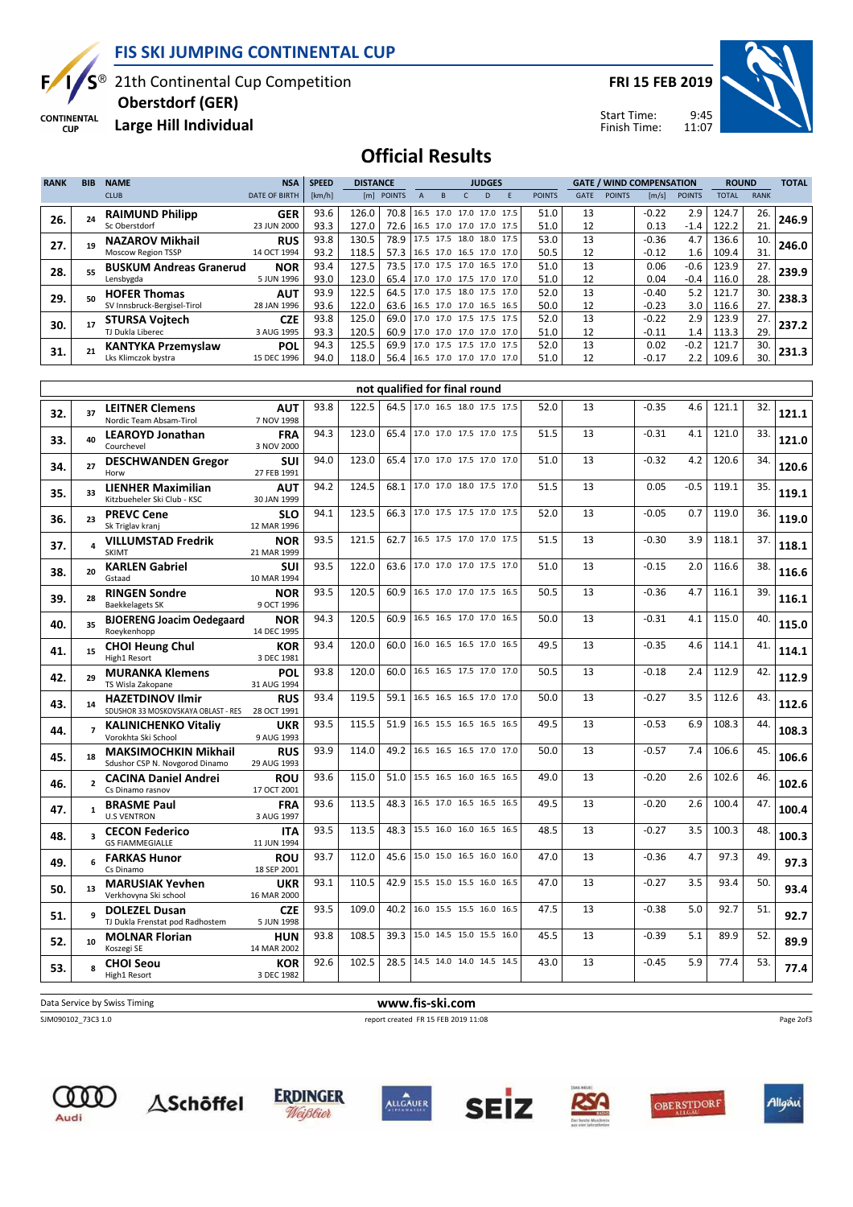

**CONTINENTAL CUP** 

## FIS SKI JUMPING CONTINENTAL CUP

21th Continental Cup Competition

FRI 15 FEB 2019

Start Time: Finish Time:



Large Hill Individual Oberstdorf (GER)

## Official Results

| <b>RANK</b> | <b>BIB</b>              | <b>NAME</b>                                                   | <b>NSA</b>                | <b>SPEED</b> | <b>DISTANCE</b> |              |                                                      |              | <b>JUDGES</b> |   |               |          |               | <b>GATE / WIND COMPENSATION</b> |               | <b>ROUND</b>   |             | <b>TOTAL</b> |
|-------------|-------------------------|---------------------------------------------------------------|---------------------------|--------------|-----------------|--------------|------------------------------------------------------|--------------|---------------|---|---------------|----------|---------------|---------------------------------|---------------|----------------|-------------|--------------|
|             |                         | <b>CLUB</b>                                                   | <b>DATE OF BIRTH</b>      | [km/h]       |                 | [m] POINTS   | $\overline{A}$<br>B                                  | $\mathsf{C}$ | D             | E | <b>POINTS</b> | GATE     | <b>POINTS</b> | [m/s]                           | <b>POINTS</b> | <b>TOTAL</b>   | <b>RANK</b> |              |
|             |                         | <b>RAIMUND Philipp</b>                                        | GER                       | 93.6         | 126.0           |              | 70.8   16.5 17.0 17.0 17.0 17.5                      |              |               |   | 51.0          | 13       |               | $-0.22$                         | 2.9           | 124.7          | 26.         |              |
| 26.         | 24                      | Sc Oberstdorf                                                 | 23 JUN 2000               | 93.3         | 127.0           | 72.6         | 16.5 17.0 17.0 17.0 17.5                             |              |               |   | 51.0          | 12       |               | 0.13                            | $-1.4$        | 122.2          | 21.         | 246.9        |
| 27.         | 19                      | <b>NAZAROV Mikhail</b>                                        | <b>RUS</b>                | 93.8         | 130.5           | 78.9         | 17.5 17.5 18.0 18.0 17.5                             |              |               |   | 53.0          | 13       |               | $-0.36$                         | 4.7           | 136.6          | 10.         | 246.0        |
|             |                         | <b>Moscow Region TSSP</b>                                     | 14 OCT 1994               | 93.2         | 118.5           | 57.3         | 16.5 17.0 16.5 17.0 17.0                             |              |               |   | 50.5          | 12       |               | -0.12                           | 1.6           | 109.4          | 31.         |              |
| 28.         | 55                      | <b>BUSKUM Andreas Granerud</b>                                | <b>NOR</b>                | 93.4         | 127.5           | 73.5         | 17.0 17.5 17.0 16.5 17.0                             |              |               |   | 51.0          | 13       |               | 0.06                            | $-0.6$        | 123.9          | 27.         | 239.9        |
|             |                         | Lensbygda                                                     | 5 JUN 1996                | 93.0         | 123.0           | 65.4         | 17.0 17.0 17.5 17.0 17.0<br>17.0 17.5 18.0 17.5 17.0 |              |               |   | 51.0          | 12<br>13 |               | 0.04                            | $-0.4$        | 116.0          | 28.         |              |
| 29.         | 50                      | <b>HOFER Thomas</b><br>SV Innsbruck-Bergisel-Tirol            | <b>AUT</b><br>28 JAN 1996 | 93.9<br>93.6 | 122.5<br>122.0  | 64.5<br>63.6 | 16.5 17.0 17.0 16.5 16.5                             |              |               |   | 52.0<br>50.0  | 12       |               | $-0.40$<br>-0.23                | 5.2<br>3.0    | 121.7<br>116.6 | 30.<br>27.  | 238.3        |
|             |                         | <b>STURSA Voitech</b>                                         | <b>CZE</b>                | 93.8         | 125.0           | 69.0         | 17.0 17.0 17.5 17.5 17.5                             |              |               |   | 52.0          | 13       |               | $-0.22$                         | 2.9           | 123.9          | 27.         |              |
| 30.         | 17                      | TJ Dukla Liberec                                              | 3 AUG 1995                | 93.3         | 120.5           | 60.9         | 17.0 17.0 17.0 17.0 17.0                             |              |               |   | 51.0          | 12       |               | $-0.11$                         | 1.4           | 113.3          | 29.         | 237.2        |
| 31.         | 21                      | <b>KANTYKA Przemyslaw</b>                                     | <b>POL</b>                | 94.3         | 125.5           | 69.9         | 17.0 17.5 17.5 17.0 17.5                             |              |               |   | 52.0          | 13       |               | 0.02                            | $-0.2$        | 121.7          | 30.         | 231.3        |
|             |                         | Lks Klimczok bystra                                           | 15 DEC 1996               | 94.0         | 118.0           | 56.4         | 16.5 17.0 17.0 17.0 17.0                             |              |               |   | 51.0          | 12       |               | $-0.17$                         | 2.2           | 109.6          | 30.         |              |
|             |                         |                                                               |                           |              |                 |              |                                                      |              |               |   |               |          |               |                                 |               |                |             |              |
|             |                         |                                                               |                           |              |                 |              | not qualified for final round                        |              |               |   |               |          |               |                                 |               |                |             |              |
| 32.         | 37                      | <b>LEITNER Clemens</b>                                        | <b>AUT</b>                | 93.8         | 122.5           | 64.5         | 17.0 16.5 18.0 17.5 17.5                             |              |               |   | 52.0          | 13       |               | $-0.35$                         | 4.6           | 121.1          | 32.         | 121.1        |
|             |                         | Nordic Team Absam-Tirol                                       | 7 NOV 1998                |              |                 |              |                                                      |              |               |   |               |          |               |                                 |               |                |             |              |
| 33.         | 40                      | <b>LEAROYD Jonathan</b><br>Courchevel                         | <b>FRA</b><br>3 NOV 2000  | 94.3         | 123.0           | 65.4         | 17.0 17.0 17.5 17.0 17.5                             |              |               |   | 51.5          | 13       |               | $-0.31$                         | 4.1           | 121.0          | 33.         | 121.0        |
|             |                         | <b>DESCHWANDEN Gregor</b>                                     | SUI                       | 94.0         | 123.0           | 65.4         | 17.0 17.0 17.5 17.0 17.0                             |              |               |   | 51.0          | 13       |               | $-0.32$                         | 4.2           | 120.6          | 34.         |              |
| 34.         | 27                      | Horw                                                          | 27 FEB 1991               |              |                 |              |                                                      |              |               |   |               |          |               |                                 |               |                |             | 120.6        |
| 35.         | 33                      | <b>LIENHER Maximilian</b>                                     | <b>AUT</b>                | 94.2         | 124.5           |              | 68.1 17.0 17.0 18.0 17.5 17.0                        |              |               |   | 51.5          | 13       |               | 0.05                            | $-0.5$        | 119.1          | 35.         | 119.1        |
|             |                         | Kitzbueheler Ski Club - KSC                                   | 30 JAN 1999               |              |                 |              |                                                      |              |               |   |               |          |               |                                 |               |                |             |              |
| 36.         | 23                      | <b>PREVC Cene</b>                                             | <b>SLO</b>                | 94.1         | 123.5           | 66.3         | 17.0 17.5 17.5 17.0 17.5                             |              |               |   | 52.0          | 13       |               | $-0.05$                         | 0.7           | 119.0          | 36.         | 119.0        |
|             |                         | Sk Triglav kranj<br><b>VILLUMSTAD Fredrik</b>                 | 12 MAR 1996               | 93.5         | 121.5           | 62.7         | 16.5 17.5 17.0 17.0 17.5                             |              |               |   | 51.5          | 13       |               | $-0.30$                         | 3.9           | 118.1          | 37.         |              |
| 37.         | 4                       | <b>SKIMT</b>                                                  | <b>NOR</b><br>21 MAR 1999 |              |                 |              |                                                      |              |               |   |               |          |               |                                 |               |                |             | 118.1        |
| 38.         | 20                      | <b>KARLEN Gabriel</b>                                         | SUI                       | 93.5         | 122.0           | 63.6         | 17.0 17.0 17.0 17.5 17.0                             |              |               |   | 51.0          | 13       |               | $-0.15$                         | 2.0           | 116.6          | 38.         | 116.6        |
|             |                         | Gstaad                                                        | 10 MAR 1994               |              |                 |              |                                                      |              |               |   |               |          |               |                                 |               |                |             |              |
| 39.         | 28                      | <b>RINGEN Sondre</b>                                          | <b>NOR</b>                | 93.5         | 120.5           | 60.9         | 16.5 17.0 17.0 17.5 16.5                             |              |               |   | 50.5          | 13       |               | $-0.36$                         | 4.7           | 116.1          | 39.         | 116.1        |
|             |                         | <b>Baekkelagets SK</b><br><b>BJOERENG Joacim Oedegaard</b>    | 9 OCT 1996<br><b>NOR</b>  | 94.3         | 120.5           | 60.9         | 16.5 16.5 17.0 17.0 16.5                             |              |               |   | 50.0          | 13       |               | $-0.31$                         | 4.1           | 115.0          | 40.         |              |
| 40.         | 35                      | Roeykenhopp                                                   | 14 DEC 1995               |              |                 |              |                                                      |              |               |   |               |          |               |                                 |               |                |             | 115.0        |
| 41.         | 15                      | <b>CHOI Heung Chul</b>                                        | <b>KOR</b>                | 93.4         | 120.0           | 60.0         | 16.0 16.5 16.5 17.0 16.5                             |              |               |   | 49.5          | 13       |               | $-0.35$                         | 4.6           | 114.1          | 41.         | 114.1        |
|             |                         | High1 Resort                                                  | 3 DEC 1981                |              |                 |              |                                                      |              |               |   |               |          |               |                                 |               |                |             |              |
| 42.         | 29                      | <b>MURANKA Klemens</b>                                        | POL                       | 93.8         | 120.0           | 60.0         | 16.5 16.5 17.5 17.0 17.0                             |              |               |   | 50.5          | 13       |               | $-0.18$                         | 2.4           | 112.9          | 42.         | 112.9        |
|             |                         | TS Wisla Zakopane<br><b>HAZETDINOV Ilmir</b>                  | 31 AUG 1994<br><b>RUS</b> | 93.4         | 119.5           | 59.1         | 16.5 16.5 16.5 17.0 17.0                             |              |               |   | 50.0          | 13       |               | $-0.27$                         | 3.5           | 112.6          | 43.         |              |
| 43.         | 14                      | SDUSHOR 33 MOSKOVSKAYA OBLAST - RES                           | 28 OCT 1991               |              |                 |              |                                                      |              |               |   |               |          |               |                                 |               |                |             | 112.6        |
| 44.         | $\overline{7}$          | <b>KALINICHENKO Vitaliy</b>                                   | <b>UKR</b>                | 93.5         | 115.5           | 51.9         | 16.5 15.5 16.5 16.5 16.5                             |              |               |   | 49.5          | 13       |               | $-0.53$                         | 6.9           | 108.3          | 44.         | 108.3        |
|             |                         | Vorokhta Ski School                                           | 9 AUG 1993                |              |                 |              |                                                      |              |               |   |               |          |               |                                 |               |                |             |              |
| 45.         | 18                      | <b>MAKSIMOCHKIN Mikhail</b>                                   | <b>RUS</b><br>29 AUG 1993 | 93.9         | 114.0           | 49.2         | 16.5 16.5 16.5 17.0 17.0                             |              |               |   | 50.0          | 13       |               | $-0.57$                         | 7.4           | 106.6          | 45.         | 106.6        |
|             |                         | Sdushor CSP N. Novgorod Dinamo<br><b>CACINA Daniel Andrei</b> | <b>ROU</b>                | 93.6         | 115.0           | 51.0         | 15.5 16.5 16.0 16.5 16.5                             |              |               |   | 49.0          | 13       |               | $-0.20$                         | 2.6           | 102.6          | 46.         |              |
| 46.         | $\overline{2}$          | Cs Dinamo rasnov                                              | 17 OCT 2001               |              |                 |              |                                                      |              |               |   |               |          |               |                                 |               |                |             | 102.6        |
| 47.         |                         | <b>BRASME Paul</b>                                            | <b>FRA</b>                | 93.6         | 113.5           | 48.3         | 16.5 17.0 16.5 16.5 16.5                             |              |               |   | 49.5          | 13       |               | $-0.20$                         | 2.6           | 100.4          | 47.         | 100.4        |
|             |                         | <b>U.S VENTRON</b>                                            | 3 AUG 1997                |              |                 |              |                                                      |              |               |   |               |          |               |                                 |               |                |             |              |
| 48.         | $\overline{\mathbf{3}}$ | <b>CECON Federico</b><br><b>GS FIAMMEGIALLE</b>               | ITA.<br>11 JUN 1994       | 93.5         | 113.5           |              | 48.3   15.5 16.0 16.0 16.5 16.5                      |              |               |   | 48.5          | 13       |               | $-0.27$                         | 3.5           | 100.3          | 48.         | 100.3        |
|             |                         | <b>FARKAS Hunor</b>                                           | <b>ROU</b>                | 93.7         | 112.0           |              | 45.6 15.0 15.0 16.5 16.0 16.0                        |              |               |   | 47.0          | 13       |               | $-0.36$                         | 4.7           | 97.3           | 49.         |              |
| 49.         | 6                       | Cs Dinamo                                                     | 18 SEP 2001               |              |                 |              |                                                      |              |               |   |               |          |               |                                 |               |                |             | 97.3         |
|             | 13                      | <b>MARUSIAK Yevhen</b>                                        | <b>UKR</b>                | 93.1         | 110.5           |              | 42.9 15.5 15.0 15.5 16.0 16.5                        |              |               |   | 47.0          | 13       |               | $-0.27$                         | 3.5           | 93.4           | 50.         | 93.4         |
| 50.         |                         | Verkhovyna Ski school                                         | 16 MAR 2000               |              |                 |              |                                                      |              |               |   |               |          |               |                                 |               |                |             |              |
| 51.         | 9                       | <b>DOLEZEL Dusan</b>                                          | <b>CZE</b>                | 93.5         | 109.0           |              | 40.2 16.0 15.5 15.5 16.0 16.5                        |              |               |   | 47.5          | 13       |               | $-0.38$                         | 5.0           | 92.7           | 51.         | 92.7         |
|             |                         | TJ Dukla Frenstat pod Radhostem                               | 5 JUN 1998                | 93.8         | 108.5           |              | 39.3 15.0 14.5 15.0 15.5 16.0                        |              |               |   | 45.5          | 13       |               | $-0.39$                         | 5.1           | 89.9           | 52.         |              |
| 52.         | 10                      | <b>MOLNAR Florian</b><br>Koszegi SE                           | HUN<br>14 MAR 2002        |              |                 |              |                                                      |              |               |   |               |          |               |                                 |               |                |             | 89.9         |
| 53.         | 8                       | <b>CHOI Seou</b>                                              | <b>KOR</b>                | 92.6         | 102.5           |              | 28.5   14.5 14.0 14.0 14.5 14.5                      |              |               |   | 43.0          | 13       |               | $-0.45$                         | 5.9           | 77.4           | 53.         | 77.4         |
|             |                         | High1 Resort                                                  | 3 DEC 1982                |              |                 |              |                                                      |              |               |   |               |          |               |                                 |               |                |             |              |

Data Service by Swiss Timing WWW.fis-ski.com

SJM090102\_73C3 1.0 report created FR 15 FEB 2019 11:08

Page 2of3